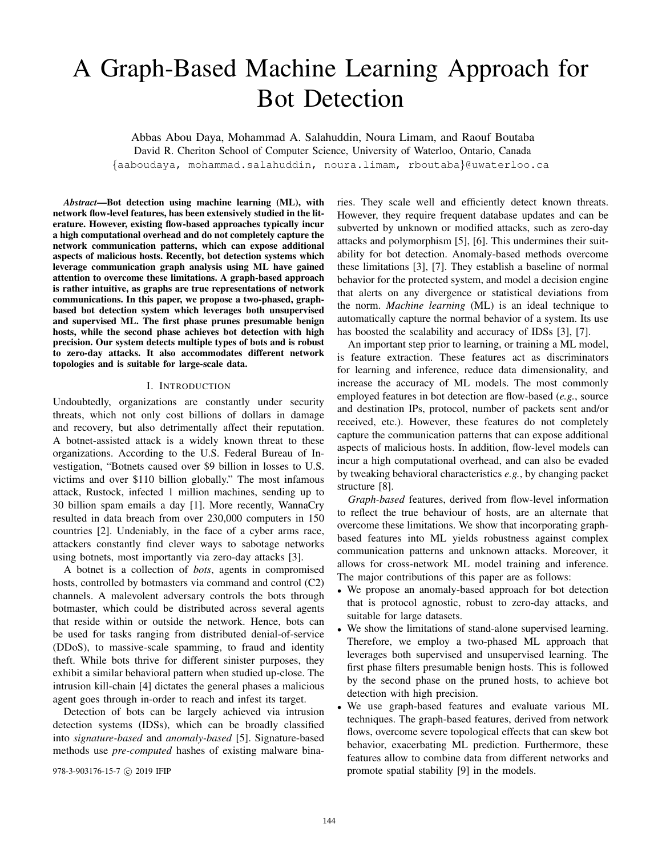# A Graph-Based Machine Learning Approach for Bot Detection

Abbas Abou Daya, Mohammad A. Salahuddin, Noura Limam, and Raouf Boutaba David R. Cheriton School of Computer Science, University of Waterloo, Ontario, Canada {aaboudaya, mohammad.salahuddin, noura.limam, rboutaba}@uwaterloo.ca

*Abstract*—Bot detection using machine learning (ML), with network flow-level features, has been extensively studied in the literature. However, existing flow-based approaches typically incur a high computational overhead and do not completely capture the network communication patterns, which can expose additional aspects of malicious hosts. Recently, bot detection systems which leverage communication graph analysis using ML have gained attention to overcome these limitations. A graph-based approach is rather intuitive, as graphs are true representations of network communications. In this paper, we propose a two-phased, graphbased bot detection system which leverages both unsupervised and supervised ML. The first phase prunes presumable benign hosts, while the second phase achieves bot detection with high precision. Our system detects multiple types of bots and is robust to zero-day attacks. It also accommodates different network topologies and is suitable for large-scale data.

# I. INTRODUCTION

Undoubtedly, organizations are constantly under security threats, which not only cost billions of dollars in damage and recovery, but also detrimentally affect their reputation. A botnet-assisted attack is a widely known threat to these organizations. According to the U.S. Federal Bureau of Investigation, "Botnets caused over \$9 billion in losses to U.S. victims and over \$110 billion globally." The most infamous attack, Rustock, infected 1 million machines, sending up to 30 billion spam emails a day [1]. More recently, WannaCry resulted in data breach from over 230,000 computers in 150 countries [2]. Undeniably, in the face of a cyber arms race, attackers constantly find clever ways to sabotage networks using botnets, most importantly via zero-day attacks [3].

A botnet is a collection of *bots*, agents in compromised hosts, controlled by botmasters via command and control (C2) channels. A malevolent adversary controls the bots through botmaster, which could be distributed across several agents that reside within or outside the network. Hence, bots can be used for tasks ranging from distributed denial-of-service (DDoS), to massive-scale spamming, to fraud and identity theft. While bots thrive for different sinister purposes, they exhibit a similar behavioral pattern when studied up-close. The intrusion kill-chain [4] dictates the general phases a malicious agent goes through in-order to reach and infest its target.

Detection of bots can be largely achieved via intrusion detection systems (IDSs), which can be broadly classified into *signature-based* and *anomaly-based* [5]. Signature-based methods use *pre-computed* hashes of existing malware binaries. They scale well and efficiently detect known threats. However, they require frequent database updates and can be subverted by unknown or modified attacks, such as zero-day attacks and polymorphism [5], [6]. This undermines their suitability for bot detection. Anomaly-based methods overcome these limitations [3], [7]. They establish a baseline of normal behavior for the protected system, and model a decision engine that alerts on any divergence or statistical deviations from the norm. *Machine learning* (ML) is an ideal technique to automatically capture the normal behavior of a system. Its use has boosted the scalability and accuracy of IDSs [3], [7].

An important step prior to learning, or training a ML model, is feature extraction. These features act as discriminators for learning and inference, reduce data dimensionality, and increase the accuracy of ML models. The most commonly employed features in bot detection are flow-based (*e.g.*, source and destination IPs, protocol, number of packets sent and/or received, etc.). However, these features do not completely capture the communication patterns that can expose additional aspects of malicious hosts. In addition, flow-level models can incur a high computational overhead, and can also be evaded by tweaking behavioral characteristics *e.g.*, by changing packet structure [8].

*Graph-based* features, derived from flow-level information to reflect the true behaviour of hosts, are an alternate that overcome these limitations. We show that incorporating graphbased features into ML yields robustness against complex communication patterns and unknown attacks. Moreover, it allows for cross-network ML model training and inference. The major contributions of this paper are as follows:

- We propose an anomaly-based approach for bot detection that is protocol agnostic, robust to zero-day attacks, and suitable for large datasets.
- We show the limitations of stand-alone supervised learning. Therefore, we employ a two-phased ML approach that leverages both supervised and unsupervised learning. The first phase filters presumable benign hosts. This is followed by the second phase on the pruned hosts, to achieve bot detection with high precision.
- We use graph-based features and evaluate various ML techniques. The graph-based features, derived from network flows, overcome severe topological effects that can skew bot behavior, exacerbating ML prediction. Furthermore, these features allow to combine data from different networks and 978-3-903176-15-7 c 2019 IFIP promote spatial stability [9] in the models.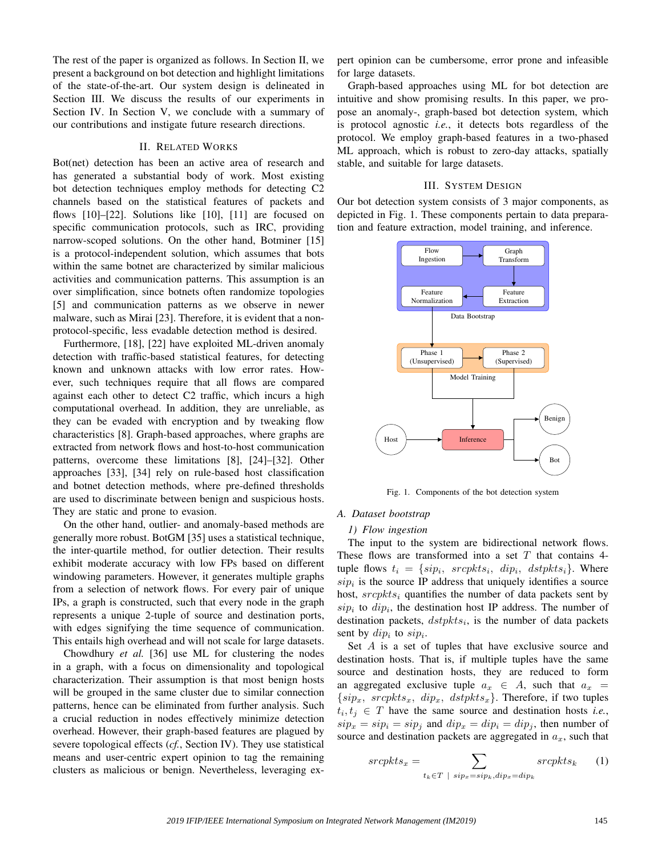The rest of the paper is organized as follows. In Section II, we present a background on bot detection and highlight limitations of the state-of-the-art. Our system design is delineated in Section III. We discuss the results of our experiments in Section IV. In Section V, we conclude with a summary of our contributions and instigate future research directions.

## II. RELATED WORKS

Bot(net) detection has been an active area of research and has generated a substantial body of work. Most existing bot detection techniques employ methods for detecting C2 channels based on the statistical features of packets and flows [10]–[22]. Solutions like [10], [11] are focused on specific communication protocols, such as IRC, providing narrow-scoped solutions. On the other hand, Botminer [15] is a protocol-independent solution, which assumes that bots within the same botnet are characterized by similar malicious activities and communication patterns. This assumption is an over simplification, since botnets often randomize topologies [5] and communication patterns as we observe in newer malware, such as Mirai [23]. Therefore, it is evident that a nonprotocol-specific, less evadable detection method is desired.

Furthermore, [18], [22] have exploited ML-driven anomaly detection with traffic-based statistical features, for detecting known and unknown attacks with low error rates. However, such techniques require that all flows are compared against each other to detect C2 traffic, which incurs a high computational overhead. In addition, they are unreliable, as they can be evaded with encryption and by tweaking flow characteristics [8]. Graph-based approaches, where graphs are extracted from network flows and host-to-host communication patterns, overcome these limitations [8], [24]–[32]. Other approaches [33], [34] rely on rule-based host classification and botnet detection methods, where pre-defined thresholds are used to discriminate between benign and suspicious hosts. They are static and prone to evasion.

On the other hand, outlier- and anomaly-based methods are generally more robust. BotGM [35] uses a statistical technique, the inter-quartile method, for outlier detection. Their results exhibit moderate accuracy with low FPs based on different windowing parameters. However, it generates multiple graphs from a selection of network flows. For every pair of unique IPs, a graph is constructed, such that every node in the graph represents a unique 2-tuple of source and destination ports, with edges signifying the time sequence of communication. This entails high overhead and will not scale for large datasets.

Chowdhury *et al.* [36] use ML for clustering the nodes in a graph, with a focus on dimensionality and topological characterization. Their assumption is that most benign hosts will be grouped in the same cluster due to similar connection patterns, hence can be eliminated from further analysis. Such a crucial reduction in nodes effectively minimize detection overhead. However, their graph-based features are plagued by severe topological effects (*cf.*, Section IV). They use statistical means and user-centric expert opinion to tag the remaining clusters as malicious or benign. Nevertheless, leveraging expert opinion can be cumbersome, error prone and infeasible for large datasets.

Graph-based approaches using ML for bot detection are intuitive and show promising results. In this paper, we propose an anomaly-, graph-based bot detection system, which is protocol agnostic *i.e.*, it detects bots regardless of the protocol. We employ graph-based features in a two-phased ML approach, which is robust to zero-day attacks, spatially stable, and suitable for large datasets.

#### III. SYSTEM DESIGN

Our bot detection system consists of 3 major components, as depicted in Fig. 1. These components pertain to data preparation and feature extraction, model training, and inference.



Fig. 1. Components of the bot detection system

#### *A. Dataset bootstrap*

#### *1) Flow ingestion*

The input to the system are bidirectional network flows. These flows are transformed into a set  $T$  that contains 4tuple flows  $t_i = \{sip_i, \text{ srcpkts}_i, \text{ } dip_i, \text{ } \text{dstpkts}_i\}.$  Where  $\sinh$  is the source IP address that uniquely identifies a source host,  $sreptts<sub>i</sub>$  quantifies the number of data packets sent by  $\sinh$  to  $\sinh$ , the destination host IP address. The number of destination packets,  $dstpkts<sub>i</sub>$ , is the number of data packets sent by  $dip_i$  to  $sip_i$ .

Set A is a set of tuples that have exclusive source and destination hosts. That is, if multiple tuples have the same source and destination hosts, they are reduced to form an aggregated exclusive tuple  $a_x \in A$ , such that  $a_x =$  $\{sip_x, \; sreptts_x, \; dip_x, \; dstpkts_x\}.$  Therefore, if two tuples  $t_i, t_j \in T$  have the same source and destination hosts *i.e.*,  $\sin x = \sin y = \sin y$  and  $\sin x = \sin y = \sin y$ , then number of source and destination packets are aggregated in  $a_x$ , such that

$$
sreptts_x = \sum_{t_k \in T \ | \ sign_x = sip_k, dip_x = dip_k} sreptts_k \qquad (1)
$$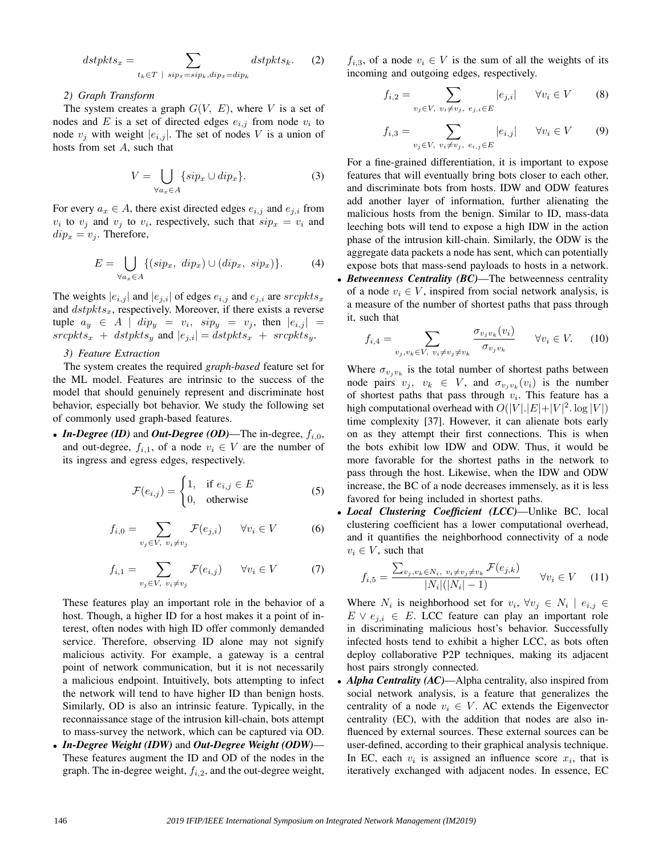$$
dstpkts_x = \sum_{t_k \in T \ | \ sign_x = sip_k, dip_x = dip_k} dstpkts_k. \tag{2}
$$

#### *2) Graph Transform*

The system creates a graph  $G(V, E)$ , where V is a set of nodes and E is a set of directed edges  $e_{i,j}$  from node  $v_i$  to node  $v_j$  with weight  $|e_{i,j}|$ . The set of nodes V is a union of hosts from set  $A$ , such that

$$
V = \bigcup_{\forall a_x \in A} \{ \sin x \cup dip_x \}. \tag{3}
$$

For every  $a_x \in A$ , there exist directed edges  $e_{i,j}$  and  $e_{j,i}$  from  $v_i$  to  $v_j$  and  $v_j$  to  $v_i$ , respectively, such that  $\sin x = v_i$  and  $dip_x = v_i$ . Therefore,

$$
E = \bigcup_{\forall a_x \in A} \{ (sip_x, \ dip_x) \cup (dip_x, \ sip_x) \}.
$$
 (4)

The weights  $|e_{i,j}|$  and  $|e_{j,i}|$  of edges  $e_{i,j}$  and  $e_{j,i}$  are  $sreptts_x$ and  $dstpkts_x$ , respectively. Moreover, if there exists a reverse tuple  $a_y \in A \mid dip_y = v_i, \quad sip_y = v_j, \quad \text{then} \quad |e_{i,j}| =$  $sreptts_x + dstpkts_y$  and  $|e_{j,i}| = dstpkts_x + sreptts_y$ .

## *3) Feature Extraction*

The system creates the required *graph-based* feature set for the ML model. Features are intrinsic to the success of the model that should genuinely represent and discriminate host behavior, especially bot behavior. We study the following set of commonly used graph-based features.

• *In-Degree (ID)* and *Out-Degree (OD)*—The in-degree,  $f_{i,0}$ , and out-degree,  $f_{i,1}$ , of a node  $v_i \in V$  are the number of its ingress and egress edges, respectively.

$$
\mathcal{F}(e_{i,j}) = \begin{cases} 1, & \text{if } e_{i,j} \in E \\ 0, & \text{otherwise} \end{cases}
$$
 (5)

$$
f_{i,0} = \sum_{v_j \in V, v_i \neq v_j} \mathcal{F}(e_{j,i}) \qquad \forall v_i \in V \tag{6}
$$

$$
f_{i,1} = \sum_{v_j \in V, v_i \neq v_j} \mathcal{F}(e_{i,j}) \qquad \forall v_i \in V \tag{7}
$$

These features play an important role in the behavior of a host. Though, a higher ID for a host makes it a point of interest, often nodes with high ID offer commonly demanded service. Therefore, observing ID alone may not signify malicious activity. For example, a gateway is a central point of network communication, but it is not necessarily a malicious endpoint. Intuitively, bots attempting to infect the network will tend to have higher ID than benign hosts. Similarly, OD is also an intrinsic feature. Typically, in the reconnaissance stage of the intrusion kill-chain, bots attempt to mass-survey the network, which can be captured via OD.

• *In-Degree Weight (IDW)* and *Out-Degree Weight (ODW)*— These features augment the ID and OD of the nodes in the graph. The in-degree weight,  $f_{i,2}$ , and the out-degree weight,

 $f_{i,3}$ , of a node  $v_i \in V$  is the sum of all the weights of its incoming and outgoing edges, respectively.

$$
f_{i,2} = \sum_{v_j \in V, v_i \neq v_j, e_{j,i} \in E} |e_{j,i}| \quad \forall v_i \in V \tag{8}
$$

$$
f_{i,3} = \sum_{v_j \in V, v_i \neq v_j, e_{i,j} \in E} |e_{i,j}| \quad \forall v_i \in V \tag{9}
$$

For a fine-grained differentiation, it is important to expose features that will eventually bring bots closer to each other, and discriminate bots from hosts. IDW and ODW features add another layer of information, further alienating the malicious hosts from the benign. Similar to ID, mass-data leeching bots will tend to expose a high IDW in the action phase of the intrusion kill-chain. Similarly, the ODW is the aggregate data packets a node has sent, which can potentially expose bots that mass-send payloads to hosts in a network.

• *Betweenness Centrality (BC)*—The betweenness centrality of a node  $v_i \in V$ , inspired from social network analysis, is a measure of the number of shortest paths that pass through it, such that

$$
f_{i,4} = \sum_{v_j, v_k \in V, v_i \neq v_j \neq v_k} \frac{\sigma_{v_j v_k}(v_i)}{\sigma_{v_j v_k}} \qquad \forall v_i \in V. \tag{10}
$$

Where  $\sigma_{v_j v_k}$  is the total number of shortest paths between node pairs  $v_j$ ,  $v_k \in V$ , and  $\sigma_{v_j v_k}(v_i)$  is the number of shortest paths that pass through  $v_i$ . This feature has a high computational overhead with  $O(|V|, |E|+|V|^2, \log|V|)$ time complexity [37]. However, it can alienate bots early on as they attempt their first connections. This is when the bots exhibit low IDW and ODW. Thus, it would be more favorable for the shortest paths in the network to pass through the host. Likewise, when the IDW and ODW increase, the BC of a node decreases immensely, as it is less favored for being included in shortest paths.

• *Local Clustering Coefficient (LCC)*—Unlike BC, local clustering coefficient has a lower computational overhead, and it quantifies the neighborhood connectivity of a node  $v_i \in V$ , such that

$$
f_{i,5} = \frac{\sum_{v_j, v_k \in N_i, v_i \neq v_j \neq v_k} \mathcal{F}(e_{j,k})}{|N_i|(|N_i| - 1)} \qquad \forall v_i \in V \tag{11}
$$

Where  $N_i$  is neighborhood set for  $v_i$ ,  $\forall v_j \in N_i \mid e_{i,j} \in$  $E \vee e_{j,i} \in E$ . LCC feature can play an important role in discriminating malicious host's behavior. Successfully infected hosts tend to exhibit a higher LCC, as bots often deploy collaborative P2P techniques, making its adjacent host pairs strongly connected.

• *Alpha Centrality (AC)—Alpha centrality, also inspired from* social network analysis, is a feature that generalizes the centrality of a node  $v_i \in V$ . AC extends the Eigenvector centrality (EC), with the addition that nodes are also influenced by external sources. These external sources can be user-defined, according to their graphical analysis technique. In EC, each  $v_i$  is assigned an influence score  $x_i$ , that is iteratively exchanged with adjacent nodes. In essence, EC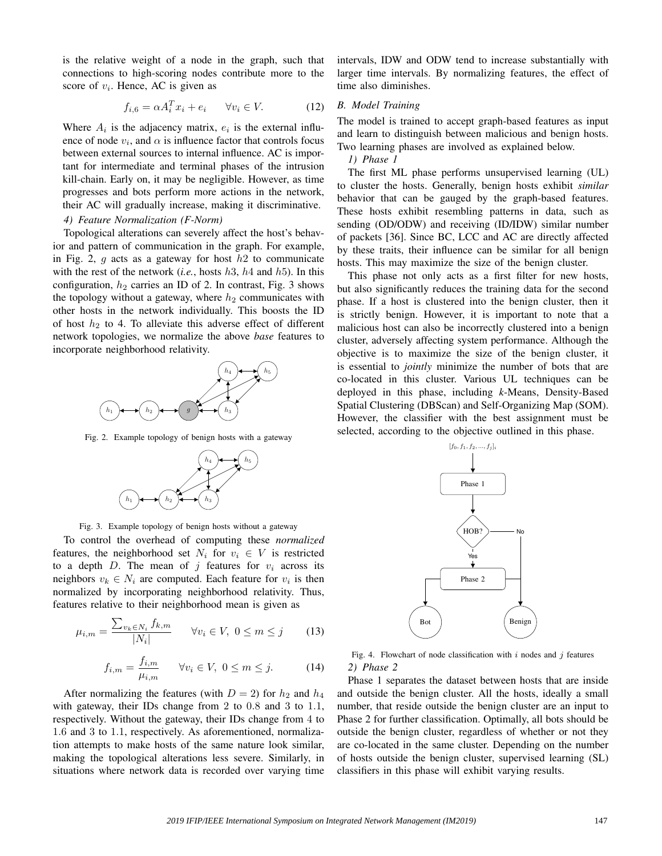is the relative weight of a node in the graph, such that connections to high-scoring nodes contribute more to the score of  $v_i$ . Hence, AC is given as

$$
f_{i,6} = \alpha A_i^T x_i + e_i \qquad \forall v_i \in V. \tag{12}
$$

Where  $A_i$  is the adjacency matrix,  $e_i$  is the external influence of node  $v_i$ , and  $\alpha$  is influence factor that controls focus between external sources to internal influence. AC is important for intermediate and terminal phases of the intrusion kill-chain. Early on, it may be negligible. However, as time progresses and bots perform more actions in the network, their AC will gradually increase, making it discriminative.

# *4) Feature Normalization (F-Norm)*

Topological alterations can severely affect the host's behavior and pattern of communication in the graph. For example, in Fig. 2, q acts as a gateway for host  $h<sup>2</sup>$  to communicate with the rest of the network (*i.e.*, hosts  $h3$ ,  $h4$  and  $h5$ ). In this configuration,  $h_2$  carries an ID of 2. In contrast, Fig. 3 shows the topology without a gateway, where  $h_2$  communicates with other hosts in the network individually. This boosts the ID of host  $h_2$  to 4. To alleviate this adverse effect of different network topologies, we normalize the above *base* features to incorporate neighborhood relativity.



Fig. 2. Example topology of benign hosts with a gateway



Fig. 3. Example topology of benign hosts without a gateway

To control the overhead of computing these *normalized* features, the neighborhood set  $N_i$  for  $v_i \in V$  is restricted to a depth  $D$ . The mean of j features for  $v_i$  across its neighbors  $v_k \in N_i$  are computed. Each feature for  $v_i$  is then normalized by incorporating neighborhood relativity. Thus, features relative to their neighborhood mean is given as

$$
\mu_{i,m} = \frac{\sum_{v_k \in N_i} f_{k,m}}{|N_i|} \qquad \forall v_i \in V, \ 0 \le m \le j \tag{13}
$$

$$
f_{i,m} = \frac{f_{i,m}}{\mu_{i,m}} \qquad \forall v_i \in V, \ 0 \le m \le j. \tag{14}
$$

After normalizing the features (with  $D = 2$ ) for  $h_2$  and  $h_4$ with gateway, their IDs change from 2 to 0.8 and 3 to 1.1, respectively. Without the gateway, their IDs change from 4 to 1.6 and 3 to 1.1, respectively. As aforementioned, normalization attempts to make hosts of the same nature look similar, making the topological alterations less severe. Similarly, in situations where network data is recorded over varying time intervals, IDW and ODW tend to increase substantially with larger time intervals. By normalizing features, the effect of time also diminishes.

# *B. Model Training*

The model is trained to accept graph-based features as input and learn to distinguish between malicious and benign hosts. Two learning phases are involved as explained below.

*1) Phase 1*

The first ML phase performs unsupervised learning (UL) to cluster the hosts. Generally, benign hosts exhibit *similar* behavior that can be gauged by the graph-based features. These hosts exhibit resembling patterns in data, such as sending (OD/ODW) and receiving (ID/IDW) similar number of packets [36]. Since BC, LCC and AC are directly affected by these traits, their influence can be similar for all benign hosts. This may maximize the size of the benign cluster.

This phase not only acts as a first filter for new hosts, but also significantly reduces the training data for the second phase. If a host is clustered into the benign cluster, then it is strictly benign. However, it is important to note that a malicious host can also be incorrectly clustered into a benign cluster, adversely affecting system performance. Although the objective is to maximize the size of the benign cluster, it is essential to *jointly* minimize the number of bots that are co-located in this cluster. Various UL techniques can be deployed in this phase, including *k*-Means, Density-Based Spatial Clustering (DBScan) and Self-Organizing Map (SOM). However, the classifier with the best assignment must be selected, according to the objective outlined in this phase.



Fig. 4. Flowchart of node classification with  $i$  nodes and  $j$  features *2) Phase 2*

Phase 1 separates the dataset between hosts that are inside and outside the benign cluster. All the hosts, ideally a small number, that reside outside the benign cluster are an input to Phase 2 for further classification. Optimally, all bots should be outside the benign cluster, regardless of whether or not they are co-located in the same cluster. Depending on the number of hosts outside the benign cluster, supervised learning (SL) classifiers in this phase will exhibit varying results.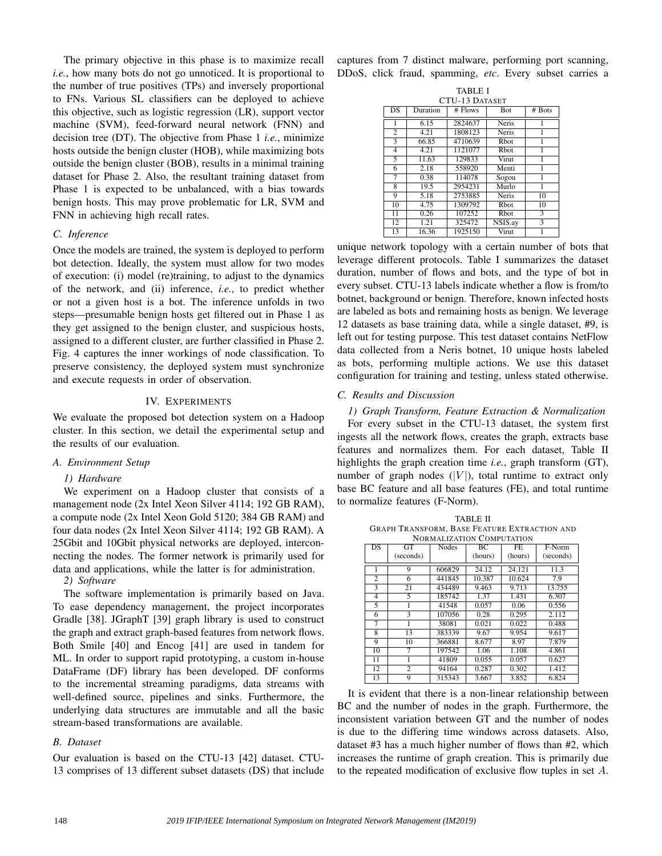The primary objective in this phase is to maximize recall *i.e.*, how many bots do not go unnoticed. It is proportional to the number of true positives (TPs) and inversely proportional to FNs. Various SL classifiers can be deployed to achieve this objective, such as logistic regression (LR), support vector machine (SVM), feed-forward neural network (FNN) and decision tree (DT). The objective from Phase 1 *i.e.*, minimize hosts outside the benign cluster (HOB), while maximizing bots outside the benign cluster (BOB), results in a minimal training dataset for Phase 2. Also, the resultant training dataset from Phase 1 is expected to be unbalanced, with a bias towards benign hosts. This may prove problematic for LR, SVM and FNN in achieving high recall rates.

# *C. Inference*

Once the models are trained, the system is deployed to perform bot detection. Ideally, the system must allow for two modes of execution: (i) model (re)training, to adjust to the dynamics of the network, and (ii) inference, *i.e.*, to predict whether or not a given host is a bot. The inference unfolds in two steps—presumable benign hosts get filtered out in Phase 1 as they get assigned to the benign cluster, and suspicious hosts, assigned to a different cluster, are further classified in Phase 2. Fig. 4 captures the inner workings of node classification. To preserve consistency, the deployed system must synchronize and execute requests in order of observation.

## IV. EXPERIMENTS

We evaluate the proposed bot detection system on a Hadoop cluster. In this section, we detail the experimental setup and the results of our evaluation.

# *A. Environment Setup*

## *1) Hardware*

We experiment on a Hadoop cluster that consists of a management node (2x Intel Xeon Silver 4114; 192 GB RAM), a compute node (2x Intel Xeon Gold 5120; 384 GB RAM) and four data nodes (2x Intel Xeon Silver 4114; 192 GB RAM). A 25Gbit and 10Gbit physical networks are deployed, interconnecting the nodes. The former network is primarily used for data and applications, while the latter is for administration.

*2) Software*

The software implementation is primarily based on Java. To ease dependency management, the project incorporates Gradle [38]. JGraphT [39] graph library is used to construct the graph and extract graph-based features from network flows. Both Smile [40] and Encog [41] are used in tandem for ML. In order to support rapid prototyping, a custom in-house DataFrame (DF) library has been developed. DF conforms to the incremental streaming paradigms, data streams with well-defined source, pipelines and sinks. Furthermore, the underlying data structures are immutable and all the basic stream-based transformations are available.

# *B. Dataset*

Our evaluation is based on the CTU-13 [42] dataset. CTU-13 comprises of 13 different subset datasets (DS) that include captures from 7 distinct malware, performing port scanning, DDoS, click fraud, spamming, *etc*. Every subset carries a

| <b>TABLE I</b>        |          |           |              |        |  |  |  |  |
|-----------------------|----------|-----------|--------------|--------|--|--|--|--|
| <b>CTU-13 DATASET</b> |          |           |              |        |  |  |  |  |
| <b>DS</b>             | Duration | $#$ Flows | <b>Bot</b>   | # Bots |  |  |  |  |
| 1                     | 6.15     | 2824637   | Neris        | 1      |  |  |  |  |
| $\overline{c}$        | 4.21     | 1808123   | Neris        | 1      |  |  |  |  |
|                       | 66.85    | 4710639   | <b>R</b> bot | 1      |  |  |  |  |
| $\overline{4}$        | 4.21     | 1121077   | <b>R</b> bot | 1      |  |  |  |  |
| 5                     | 11.63    | 129833    | Virut        | 1      |  |  |  |  |
| 6                     | 2.18     | 558920    | Menti        | 1      |  |  |  |  |
| 7                     | 0.38     | 114078    | Sogou        | 1      |  |  |  |  |
| 8                     | 19.5     | 2954231   | Murlo        | 1      |  |  |  |  |
| 9                     | 5.18     | 2753885   | <b>Neris</b> | 10     |  |  |  |  |
| 10                    | 4.75     | 1309792   | <b>R</b> bot | 10     |  |  |  |  |
| 11                    | 0.26     | 107252    | Rbot         | 3      |  |  |  |  |
| 12                    | 1.21     | 325472    | NSIS.ay      | 3      |  |  |  |  |
| 13                    | 16.36    | 1925150   | Virut        |        |  |  |  |  |

unique network topology with a certain number of bots that leverage different protocols. Table I summarizes the dataset duration, number of flows and bots, and the type of bot in every subset. CTU-13 labels indicate whether a flow is from/to botnet, background or benign. Therefore, known infected hosts are labeled as bots and remaining hosts as benign. We leverage 12 datasets as base training data, while a single dataset, #9, is left out for testing purpose. This test dataset contains NetFlow data collected from a Neris botnet, 10 unique hosts labeled as bots, performing multiple actions. We use this dataset configuration for training and testing, unless stated otherwise.

# *C. Results and Discussion*

*1) Graph Transform, Feature Extraction & Normalization* For every subset in the CTU-13 dataset, the system first ingests all the network flows, creates the graph, extracts base features and normalizes them. For each dataset, Table II highlights the graph creation time *i.e.*, graph transform (GT), number of graph nodes  $(|V|)$ , total runtime to extract only base BC feature and all base features (FE), and total runtime to normalize features (F-Norm).

| TABLE II                                     |
|----------------------------------------------|
| Graph Transform. Base Feature Extraction and |
| <b>NORMALIZATION COMPUTATION</b>             |

|                 | INORMALIZATION COMPUTATION |        |         |                |           |  |  |  |
|-----------------|----------------------------|--------|---------|----------------|-----------|--|--|--|
| DS              | GT                         | Nodes  | BC      | F <sub>E</sub> | F-Norm    |  |  |  |
|                 | (seconds)                  |        | (hours) | (hours)        | (seconds) |  |  |  |
|                 |                            |        |         |                |           |  |  |  |
| 1               | 9                          | 606829 | 24.12   | 24.121         | 11.3      |  |  |  |
| 2               | 6                          | 441845 | 10.387  | 10.624         | 7.9       |  |  |  |
| 3               | 21                         | 434489 | 9.463   | 9.713          | 13.755    |  |  |  |
| $\overline{4}$  | 5                          | 185742 | 1.37    | 1.431          | 6.307     |  |  |  |
| 5               | 1                          | 41548  | 0.057   | 0.06           | 0.556     |  |  |  |
| 6               | 3                          | 107056 | 0.28    | 0.295          | 2.112     |  |  |  |
| 7               |                            | 38081  | 0.021   | 0.022          | 0.488     |  |  |  |
| $\overline{8}$  | 13                         | 383339 | 9.67    | 9.954          | 9.617     |  |  |  |
| 9               | 10                         | 366881 | 8.677   | 8.97           | 7.879     |  |  |  |
| 10              | 7                          | 197542 | 1.06    | 1.108          | 4.861     |  |  |  |
| $\overline{11}$ | 1                          | 41809  | 0.055   | 0.057          | 0.627     |  |  |  |
| 12              | $\overline{c}$             | 94164  | 0.287   | 0.302          | 1.412     |  |  |  |
| 13              | 9                          | 315343 | 3.667   | 3.852          | 6.824     |  |  |  |

It is evident that there is a non-linear relationship between BC and the number of nodes in the graph. Furthermore, the inconsistent variation between GT and the number of nodes is due to the differing time windows across datasets. Also, dataset #3 has a much higher number of flows than #2, which increases the runtime of graph creation. This is primarily due to the repeated modification of exclusive flow tuples in set A.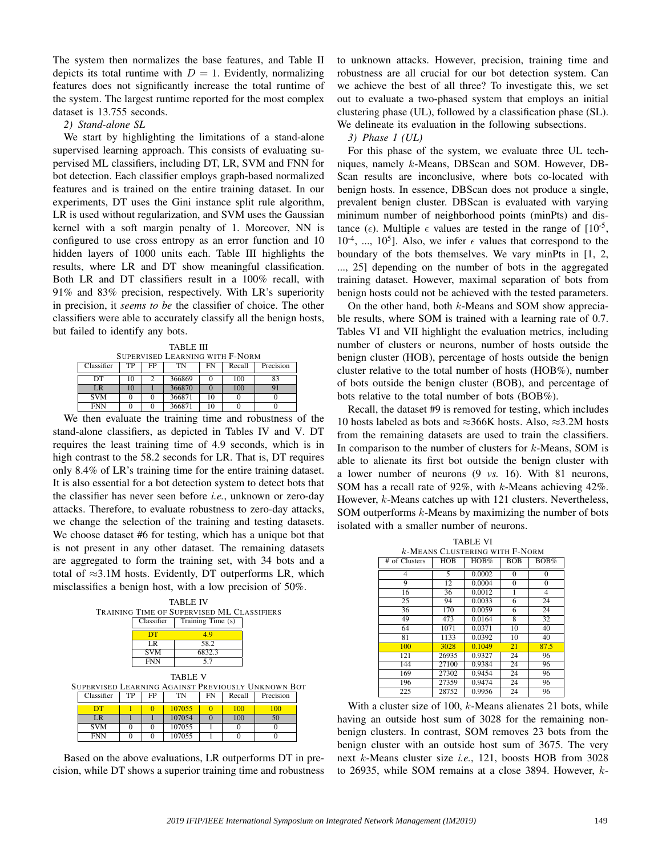The system then normalizes the base features, and Table II depicts its total runtime with  $D = 1$ . Evidently, normalizing features does not significantly increase the total runtime of the system. The largest runtime reported for the most complex dataset is 13.755 seconds.

#### *2) Stand-alone SL*

We start by highlighting the limitations of a stand-alone supervised learning approach. This consists of evaluating supervised ML classifiers, including DT, LR, SVM and FNN for bot detection. Each classifier employs graph-based normalized features and is trained on the entire training dataset. In our experiments, DT uses the Gini instance split rule algorithm, LR is used without regularization, and SVM uses the Gaussian kernel with a soft margin penalty of 1. Moreover, NN is configured to use cross entropy as an error function and 10 hidden layers of 1000 units each. Table III highlights the results, where LR and DT show meaningful classification. Both LR and DT classifiers result in a 100% recall, with 91% and 83% precision, respectively. With LR's superiority in precision, it *seems to be* the classifier of choice. The other classifiers were able to accurately classify all the benign hosts, but failed to identify any bots.

TABLE III SUPERVISED LEARNING WITH F-NORM

| Classifier | TР | FP | TN     | FN | Recall | Precision |
|------------|----|----|--------|----|--------|-----------|
| DТ         | 10 |    | 366869 |    | 100    |           |
| LR         | 10 |    | 366870 |    | 100    | 91        |
| <b>SVM</b> |    |    | 366871 | 10 |        |           |
| <b>FNN</b> |    |    | 366871 | 10 |        |           |

We then evaluate the training time and robustness of the stand-alone classifiers, as depicted in Tables IV and V. DT requires the least training time of 4.9 seconds, which is in high contrast to the 58.2 seconds for LR. That is, DT requires only 8.4% of LR's training time for the entire training dataset. It is also essential for a bot detection system to detect bots that the classifier has never seen before *i.e.*, unknown or zero-day attacks. Therefore, to evaluate robustness to zero-day attacks, we change the selection of the training and testing datasets. We choose dataset #6 for testing, which has a unique bot that is not present in any other dataset. The remaining datasets are aggregated to form the training set, with 34 bots and a total of  $\approx$ 3.1M hosts. Evidently, DT outperforms LR, which misclassifies a benign host, with a low precision of 50%.



Based on the above evaluations, LR outperforms DT in precision, while DT shows a superior training time and robustness to unknown attacks. However, precision, training time and robustness are all crucial for our bot detection system. Can we achieve the best of all three? To investigate this, we set out to evaluate a two-phased system that employs an initial clustering phase (UL), followed by a classification phase (SL). We delineate its evaluation in the following subsections.

#### *3) Phase 1 (UL)*

For this phase of the system, we evaluate three UL techniques, namely k-Means, DBScan and SOM. However, DB-Scan results are inconclusive, where bots co-located with benign hosts. In essence, DBScan does not produce a single, prevalent benign cluster. DBScan is evaluated with varying minimum number of neighborhood points (minPts) and distance ( $\epsilon$ ). Multiple  $\epsilon$  values are tested in the range of [10<sup>-5</sup>,  $10^{-4}$ , ...,  $10^{5}$ ]. Also, we infer  $\epsilon$  values that correspond to the boundary of the bots themselves. We vary minPts in [1, 2, ..., 25] depending on the number of bots in the aggregated training dataset. However, maximal separation of bots from benign hosts could not be achieved with the tested parameters.

On the other hand, both  $k$ -Means and SOM show appreciable results, where SOM is trained with a learning rate of 0.7. Tables VI and VII highlight the evaluation metrics, including number of clusters or neurons, number of hosts outside the benign cluster (HOB), percentage of hosts outside the benign cluster relative to the total number of hosts (HOB%), number of bots outside the benign cluster (BOB), and percentage of bots relative to the total number of bots (BOB%).

Recall, the dataset #9 is removed for testing, which includes 10 hosts labeled as bots and ≈366K hosts. Also, ≈3.2M hosts from the remaining datasets are used to train the classifiers. In comparison to the number of clusters for  $k$ -Means, SOM is able to alienate its first bot outside the benign cluster with a lower number of neurons (9 *vs.* 16). With 81 neurons, SOM has a recall rate of 92%, with k-Means achieving 42%. However, k-Means catches up with 121 clusters. Nevertheless, SOM outperforms k-Means by maximizing the number of bots isolated with a smaller number of neurons.

| <b>TABLE VI</b>                   |            |        |            |          |  |  |  |  |
|-----------------------------------|------------|--------|------------|----------|--|--|--|--|
| $k$ -Means Clustering with F-Norm |            |        |            |          |  |  |  |  |
| # of Clusters                     | <b>HOB</b> | HOB%   | <b>BOB</b> | BOB%     |  |  |  |  |
| 4                                 | 5          | 0.0002 | $\theta$   | $\Omega$ |  |  |  |  |
| 9                                 | 12         | 0.0004 | 0          | $\Omega$ |  |  |  |  |
| 16                                | 36         | 0.0012 | 1          | 4        |  |  |  |  |
| 25                                | 94         | 0.0033 | 6          | 24       |  |  |  |  |
| 36                                | 170        | 0.0059 | 6          | 24       |  |  |  |  |
| 49                                | 473        | 0.0164 | 8          | 32       |  |  |  |  |
| 64                                | 1071       | 0.0371 | 10         | 40       |  |  |  |  |
| 81                                | 1133       | 0.0392 | 10         | 40       |  |  |  |  |
| 100                               | 3028       | 0.1049 | 21         | 87.5     |  |  |  |  |
| 121                               | 26935      | 0.9327 | 24         | 96       |  |  |  |  |
| 144                               | 27100      | 0.9384 | 24         | 96       |  |  |  |  |
| 169                               | 27302      | 0.9454 | 24         | 96       |  |  |  |  |
| 196                               | 27359      | 0.9474 | 24         | 96       |  |  |  |  |
| 225                               | 28752      | 0.9956 | 24         | 96       |  |  |  |  |

With a cluster size of 100, k-Means alienates 21 bots, while having an outside host sum of 3028 for the remaining nonbenign clusters. In contrast, SOM removes 23 bots from the benign cluster with an outside host sum of 3675. The very next k-Means cluster size *i.e.*, 121, boosts HOB from 3028 to 26935, while SOM remains at a close 3894. However, k-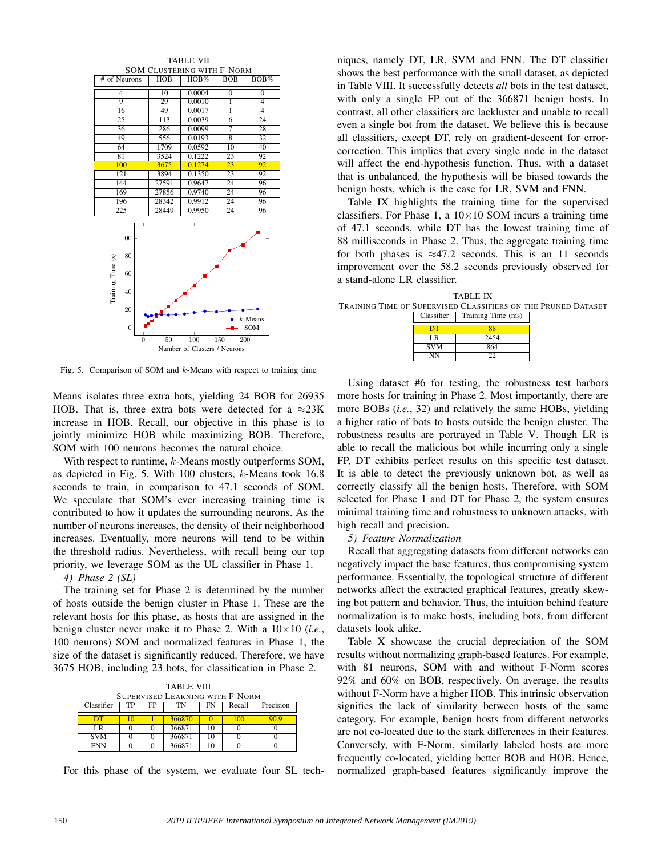

Fig. 5. Comparison of SOM and  $k$ -Means with respect to training time

Means isolates three extra bots, yielding 24 BOB for 26935 HOB. That is, three extra bots were detected for a  $\approx$ 23K increase in HOB. Recall, our objective in this phase is to jointly minimize HOB while maximizing BOB. Therefore, SOM with 100 neurons becomes the natural choice.

With respect to runtime,  $k$ -Means mostly outperforms SOM, as depicted in Fig. 5. With 100 clusters, k-Means took 16.8 seconds to train, in comparison to 47.1 seconds of SOM. We speculate that SOM's ever increasing training time is contributed to how it updates the surrounding neurons. As the number of neurons increases, the density of their neighborhood increases. Eventually, more neurons will tend to be within the threshold radius. Nevertheless, with recall being our top priority, we leverage SOM as the UL classifier in Phase 1.

*4) Phase 2 (SL)*

The training set for Phase 2 is determined by the number of hosts outside the benign cluster in Phase 1. These are the relevant hosts for this phase, as hosts that are assigned in the benign cluster never make it to Phase 2. With a 10×10 (*i.e.*, 100 neurons) SOM and normalized features in Phase 1, the size of the dataset is significantly reduced. Therefore, we have 3675 HOB, including 23 bots, for classification in Phase 2.

| <b>TABLE VIII</b>                                         |  |  |        |    |     |     |  |  |
|-----------------------------------------------------------|--|--|--------|----|-----|-----|--|--|
| SUPERVISED LEARNING WITH F-NORM                           |  |  |        |    |     |     |  |  |
| Precision<br>Classifier<br>TP<br>FP<br>Recall<br>FN<br>TN |  |  |        |    |     |     |  |  |
| DТ                                                        |  |  | 366870 |    | 100 | O Q |  |  |
| LR                                                        |  |  | 366871 | 10 |     |     |  |  |
| <b>SVM</b>                                                |  |  | 366871 | 10 |     |     |  |  |
| <b>FNN</b>                                                |  |  | 366871 | 10 |     |     |  |  |

For this phase of the system, we evaluate four SL tech-

niques, namely DT, LR, SVM and FNN. The DT classifier shows the best performance with the small dataset, as depicted in Table VIII. It successfully detects *all* bots in the test dataset, with only a single FP out of the 366871 benign hosts. In contrast, all other classifiers are lackluster and unable to recall even a single bot from the dataset. We believe this is because all classifiers, except DT, rely on gradient-descent for errorcorrection. This implies that every single node in the dataset will affect the end-hypothesis function. Thus, with a dataset that is unbalanced, the hypothesis will be biased towards the benign hosts, which is the case for LR, SVM and FNN.

Table IX highlights the training time for the supervised classifiers. For Phase 1, a  $10\times10$  SOM incurs a training time of 47.1 seconds, while DT has the lowest training time of 88 milliseconds in Phase 2. Thus, the aggregate training time for both phases is  $\approx$ 47.2 seconds. This is an 11 seconds improvement over the 58.2 seconds previously observed for a stand-alone LR classifier.

|                                                               | TABLE IX                      |  |
|---------------------------------------------------------------|-------------------------------|--|
| Training Time of Supervised Classifiers on the Pruned Dataset |                               |  |
|                                                               | Classifier Training Time (ms) |  |

| Training Time (ms) |
|--------------------|
| 88                 |
| 2454               |
| 864                |
| つつ                 |
|                    |

Using dataset #6 for testing, the robustness test harbors more hosts for training in Phase 2. Most importantly, there are more BOBs (*i.e.*, 32) and relatively the same HOBs, yielding a higher ratio of bots to hosts outside the benign cluster. The robustness results are portrayed in Table V. Though LR is able to recall the malicious bot while incurring only a single FP, DT exhibits perfect results on this specific test dataset. It is able to detect the previously unknown bot, as well as correctly classify all the benign hosts. Therefore, with SOM selected for Phase 1 and DT for Phase 2, the system ensures minimal training time and robustness to unknown attacks, with high recall and precision.

#### *5) Feature Normalization*

Recall that aggregating datasets from different networks can negatively impact the base features, thus compromising system performance. Essentially, the topological structure of different networks affect the extracted graphical features, greatly skewing bot pattern and behavior. Thus, the intuition behind feature normalization is to make hosts, including bots, from different datasets look alike.

Table X showcase the crucial depreciation of the SOM results without normalizing graph-based features. For example, with 81 neurons, SOM with and without F-Norm scores 92% and 60% on BOB, respectively. On average, the results without F-Norm have a higher HOB. This intrinsic observation signifies the lack of similarity between hosts of the same category. For example, benign hosts from different networks are not co-located due to the stark differences in their features. Conversely, with F-Norm, similarly labeled hosts are more frequently co-located, yielding better BOB and HOB. Hence, normalized graph-based features significantly improve the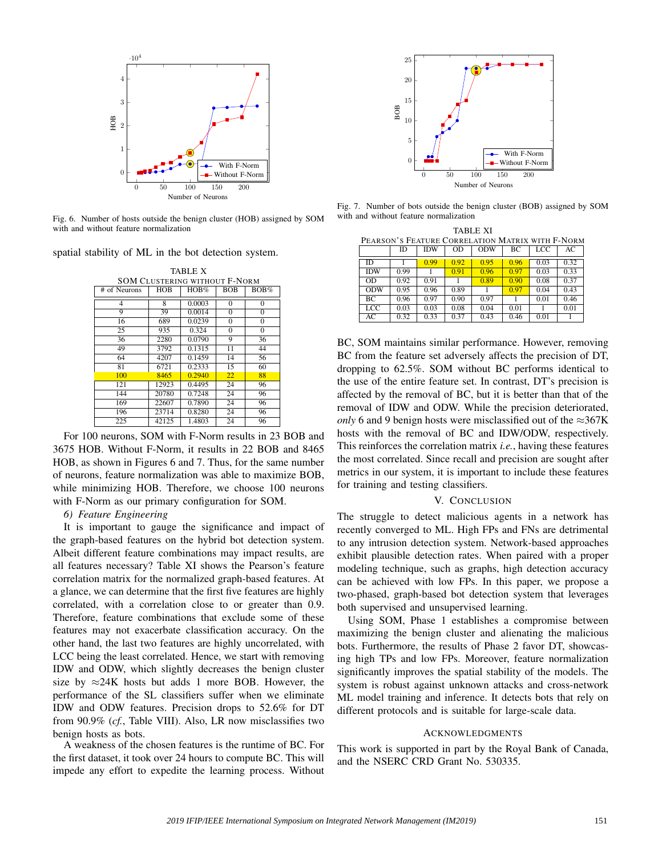

Fig. 6. Number of hosts outside the benign cluster (HOB) assigned by SOM with and without feature normalization

spatial stability of ML in the bot detection system.

TABLE X SOM CLUSTERING WITHOUT F-NORM<br>Neurons | HOB | HOB% | BOB | BOB% # of Neurons  $0.0003$  0 0 9 39 0.0014 0 0 16 689 0.0239 0 0 25 935 0.324 0 0<br>36 2280 0.0790 9 36 36 2280 0.0790 9 36<br>49 3792 0.1315 11 44 49 3792 0.1315 11 44<br>64 4207 0.1459 14 56  $0.1459$ 81 6721 0.2333 15 60 100 8465 0.2940 22 88 121 12923 0.4495 24 96<br>144 20780 0.7248 24 96

For 100 neurons, SOM with F-Norm results in 23 BOB and 3675 HOB. Without F-Norm, it results in 22 BOB and 8465 HOB, as shown in Figures 6 and 7. Thus, for the same number of neurons, feature normalization was able to maximize BOB, while minimizing HOB. Therefore, we choose 100 neurons with F-Norm as our primary configuration for SOM.

144 20780 0.7248 24 96

22607 0.7890 24 96<br>23714 0.8280 24 96 196 23714 0.8280 24 96 1.4803

# *6) Feature Engineering*

It is important to gauge the significance and impact of the graph-based features on the hybrid bot detection system. Albeit different feature combinations may impact results, are all features necessary? Table XI shows the Pearson's feature correlation matrix for the normalized graph-based features. At a glance, we can determine that the first five features are highly correlated, with a correlation close to or greater than 0.9. Therefore, feature combinations that exclude some of these features may not exacerbate classification accuracy. On the other hand, the last two features are highly uncorrelated, with LCC being the least correlated. Hence, we start with removing IDW and ODW, which slightly decreases the benign cluster size by  $\approx$ 24K hosts but adds 1 more BOB. However, the performance of the SL classifiers suffer when we eliminate IDW and ODW features. Precision drops to 52.6% for DT from 90.9% (*cf.*, Table VIII). Also, LR now misclassifies two benign hosts as bots.

A weakness of the chosen features is the runtime of BC. For the first dataset, it took over 24 hours to compute BC. This will impede any effort to expedite the learning process. Without



Fig. 7. Number of bots outside the benign cluster (BOB) assigned by SOM with and without feature normalization

| TABLE XI   |                                                  |            |      |            |      |      |      |  |
|------------|--------------------------------------------------|------------|------|------------|------|------|------|--|
|            | PEARSON'S FEATURE CORRELATION MATRIX WITH F-NORM |            |      |            |      |      |      |  |
|            | <b>ID</b>                                        | <b>IDW</b> | OD   | <b>ODW</b> | ВC   | LCC  | AC   |  |
| ID         |                                                  | 0.99       | 0.92 | 0.95       | 0.96 | 0.03 | 0.32 |  |
| <b>IDW</b> | 0.99                                             |            | 0.91 | 0.96       | 0.97 | 0.03 | 0.33 |  |
| OD         | 0.92                                             | 0.91       |      | 0.89       | 0.90 | 0.08 | 0.37 |  |
| <b>ODW</b> | 0.95                                             | 0.96       | 0.89 |            | 0.97 | 0.04 | 0.43 |  |
| BC.        | 0.96                                             | 0.97       | 0.90 | 0.97       |      | 0.01 | 0.46 |  |
| LCC        | 0.03                                             | 0.03       | 0.08 | 0.04       | 0.01 |      | 0.01 |  |
| АC         | 0.32                                             | 0.33       | 0.37 | 0.43       | 0.46 | 0.01 |      |  |

BC, SOM maintains similar performance. However, removing BC from the feature set adversely affects the precision of DT, dropping to 62.5%. SOM without BC performs identical to the use of the entire feature set. In contrast, DT's precision is affected by the removal of BC, but it is better than that of the removal of IDW and ODW. While the precision deteriorated, *only* 6 and 9 benign hosts were misclassified out of the ≈367K hosts with the removal of BC and IDW/ODW, respectively. This reinforces the correlation matrix *i.e.*, having these features the most correlated. Since recall and precision are sought after metrics in our system, it is important to include these features for training and testing classifiers.

# V. CONCLUSION

The struggle to detect malicious agents in a network has recently converged to ML. High FPs and FNs are detrimental to any intrusion detection system. Network-based approaches exhibit plausible detection rates. When paired with a proper modeling technique, such as graphs, high detection accuracy can be achieved with low FPs. In this paper, we propose a two-phased, graph-based bot detection system that leverages both supervised and unsupervised learning.

Using SOM, Phase 1 establishes a compromise between maximizing the benign cluster and alienating the malicious bots. Furthermore, the results of Phase 2 favor DT, showcasing high TPs and low FPs. Moreover, feature normalization significantly improves the spatial stability of the models. The system is robust against unknown attacks and cross-network ML model training and inference. It detects bots that rely on different protocols and is suitable for large-scale data.

#### ACKNOWLEDGMENTS

This work is supported in part by the Royal Bank of Canada, and the NSERC CRD Grant No. 530335.